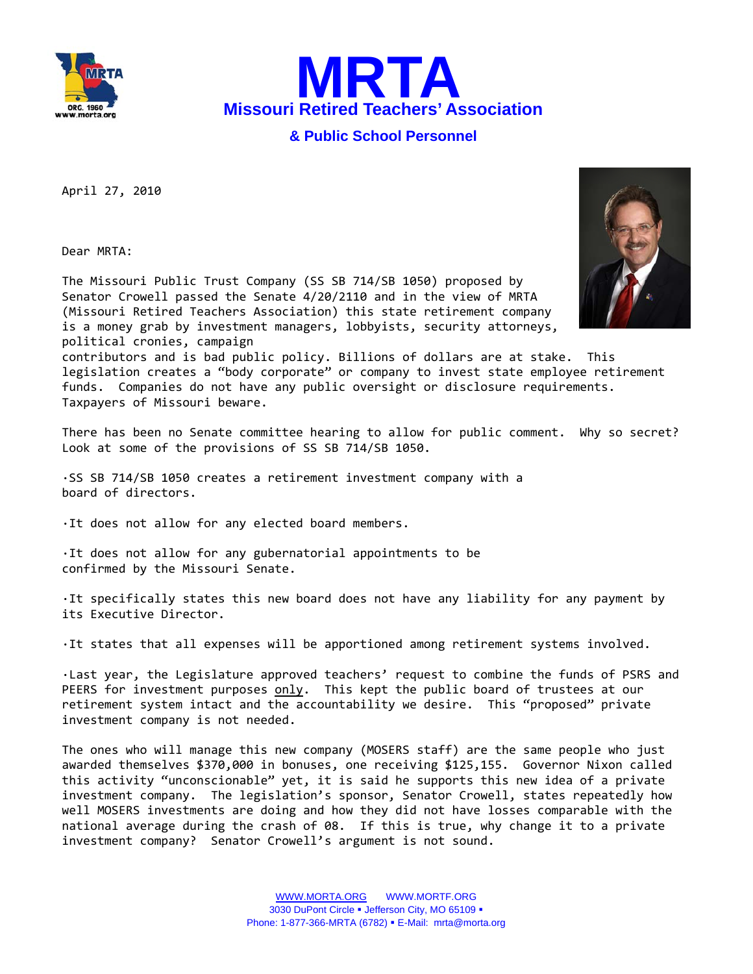



## **& Public School Personnel**

April 27, 2010

Dear MRTA:

The Missouri Public Trust Company (SS SB 714/SB 1050) proposed by Senator Crowell passed the Senate 4/20/2110 and in the view of MRTA (Missouri Retired Teachers Association) this state retirement company is a money grab by investment managers, lobbyists, security attorneys, political cronies, campaign contributors and is bad public policy. Billions of dollars are at stake. This legislation creates a "body corporate" or company to invest state employee retirement

funds. Companies do not have any public oversight or disclosure requirements. Taxpayers of Missouri beware.

There has been no Senate committee hearing to allow for public comment. Why so secret? Look at some of the provisions of SS SB 714/SB 1050.

∙SS SB 714/SB 1050 creates a retirement investment company with a board of directors.

∙It does not allow for any elected board members.

∙It does not allow for any gubernatorial appointments to be confirmed by the Missouri Senate.

∙It specifically states this new board does not have any liability for any payment by its Executive Director.

∙It states that all expenses will be apportioned among retirement systems involved.

∙Last year, the Legislature approved teachers' request to combine the funds of PSRS and PEERS for investment purposes only. This kept the public board of trustees at our retirement system intact and the accountability we desire. This "proposed" private investment company is not needed.

The ones who will manage this new company (MOSERS staff) are the same people who just awarded themselves \$370,000 in bonuses, one receiving \$125,155. Governor Nixon called this activity "unconscionable" yet, it is said he supports this new idea of a private investment company. The legislation's sponsor, Senator Crowell, states repeatedly how well MOSERS investments are doing and how they did not have losses comparable with the national average during the crash of 08. If this is true, why change it to a private investment company? Senator Crowell's argument is not sound.